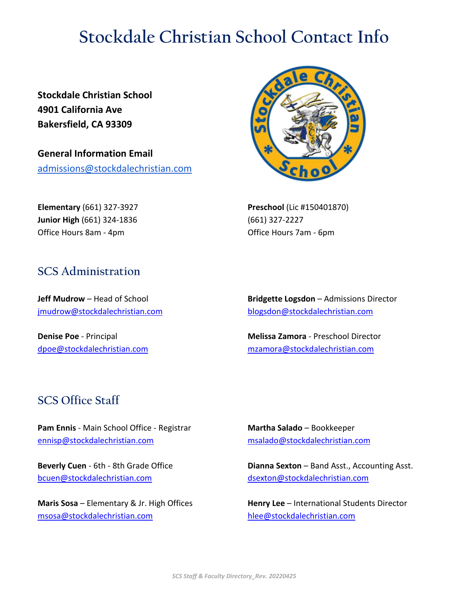## **Stockdale Christian School Contact Info**

**Stockdale Christian School 4901 California Ave Bakersfield, CA 93309**

**General Information Email** admissions@stockdalechristian.com

**Elementary** (661) 327-3927 **Junior High** (661) 324-1836 Office Hours 8am - 4pm

## **SCS Administration**

**Jeff Mudrow** – Head of School [jmudrow@stockdalechristian.com](mailto:jmudrow@stockdalechristian.com)

**Denise Poe** - Principal [dpoe@stockdalechristian.com](mailto:dpoe@stockdalechristian.com)



**Preschool** (Lic #150401870) (661) 327-2227 Office Hours 7am - 6pm

**Bridgette Logsdon** – Admissions Director [blogsdon@stockdalechristian.com](mailto:blogsdon@stockdalechristian.com)

**Melissa Zamora** - Preschool Director [mzamora@stockdalechristian.com](mailto:mzamora@stockdalechristian.com)

## **SCS Office Staff**

**Pam Ennis** - Main School Office - Registrar [ennisp@stockdalechristian.com](mailto:ennisp@stockdalechristian.com)

**Beverly Cuen** - 6th - 8th Grade Office [bcuen@stockdalechristian.com](mailto:bcuen@stockdalechristian.com)

**Maris Sosa** – Elementary & Jr. High Offices [msosa@stockdalechristian.com](mailto:msosa@stockdalechristian.com)

**Martha Salado** – Bookkeeper [msalado@stockdalechristian.com](mailto:msalado@stockdalechristian.com)

**Dianna Sexton** – Band Asst., Accounting Asst. [dsexton@stockdalechristian.com](mailto:dsexton@stockdalechristian.com)

**Henry Lee** – International Students Director [hlee@stockdalechristian.com](mailto:hlee@stockdalechristian.com)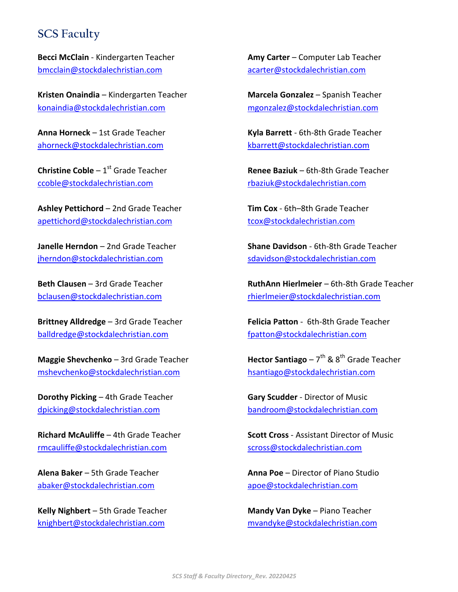## **SCS Faculty**

**Becci McClain** - Kindergarten Teacher [bmcclain@stockdalechristian.com](mailto:bmcclain@stockdalechristian.com)

**Kristen Onaindia** – Kindergarten Teacher [konaindia@stockdalechristian.com](mailto:konaindia@stockdalechristian.com)

**Anna Horneck** – 1st Grade Teacher [ahorneck@stockdalechristian.com](mailto:ahorneck@stockdalechristian.com)

**Christine Coble** – 1<sup>st</sup> Grade Teacher [ccoble@stockdalechristian.com](mailto:ccoble@stockdalechristian.com)

**Ashley Pettichord** – 2nd Grade Teacher [apettichord@stockdalechristian.com](mailto:apettichord@stockdalechristian.com)

**Janelle Herndon** – 2nd Grade Teacher [jherndon@stockdalechristian.com](mailto:jherndon@stockdalechristian.com)

**Beth Clausen** – 3rd Grade Teacher [bclausen@stockdalechristian.com](mailto:bclausen@stockdalechristian.com)

**Brittney Alldredge** – 3rd Grade Teacher [balldredge@stockdalechristian.com](mailto:balldredge@stockdalechristian.com)

**Maggie Shevchenko** – 3rd Grade Teacher [mshevchenko@stockdalechristian.com](mailto:mshevchenko@stockdalechristian.com)

**Dorothy Picking** – 4th Grade Teacher [dpicking@stockdalechristian.com](mailto:dpicking@stockdalechristian.com)

**Richard McAuliffe** – 4th Grade Teacher [rmcauliffe@stockdalechristian.com](mailto:rmcauliffe@stockdalechristian.com)

**Alena Baker** – 5th Grade Teacher [abaker@stockdalechristian.com](mailto:abaker@stockdalechristian.com)

**Kelly Nighbert** – 5th Grade Teacher [knighbert@stockdalechristian.com](mailto:knighbert@stockdalechristian.com)

**Amy Carter** – Computer Lab Teacher [acarter@stockdalechristian.com](mailto:acarter@stockdalechristian.com)

**Marcela Gonzalez** – Spanish Teacher [mgonzalez@stockdalechristian.com](mailto:mgonzalez@stockdalechristian.com)

**Kyla Barrett** - 6th-8th Grade Teacher [kbarrett@stockdalechristian.com](mailto:kbarrett@stockdalechristian.com)

**Renee Baziuk** – 6th-8th Grade Teacher [rbaziuk@stockdalechristian.com](mailto:rbaziuk@stockdalechristian.com)

**Tim Cox** - 6th–8th Grade Teacher [tcox@stockdalechristian.com](mailto:tcox@stockdalechristian.com)

**Shane Davidson** - 6th-8th Grade Teacher [sdavidson@stockdalechristian.com](mailto:sdavidson@stockdalechristian.com)

**RuthAnn Hierlmeier** – 6th-8th Grade Teacher [rhierlmeier@stockdalechristian.com](mailto:rhierlmeier@stockdalechristian.com)

**Felicia Patton** - 6th-8th Grade Teacher [fpatton@stockdalechristian.com](mailto:fpatton@stockdalechristian.com)

**Hector Santiago** – 7<sup>th</sup> & 8<sup>th</sup> Grade Teacher [hsantiago@stockdalechristian.com](mailto:hsantiago@stockdalechristian.com)

**Gary Scudder** - Director of Music [bandroom@stockdalechristian.com](mailto:bandroom@stockdalechristian.com)

**Scott Cross** - Assistant Director of Music [scross@stockdalechristian.com](mailto:scross@stockdalechristian.com)

**Anna Poe** – Director of Piano Studio [apoe@stockdalechristian.com](mailto:apoe@stockdalechristian.com)

**Mandy Van Dyke** – Piano Teacher [mvandyke@stockdalechristian.com](mailto:mvandyke@stockdalechristian.com)